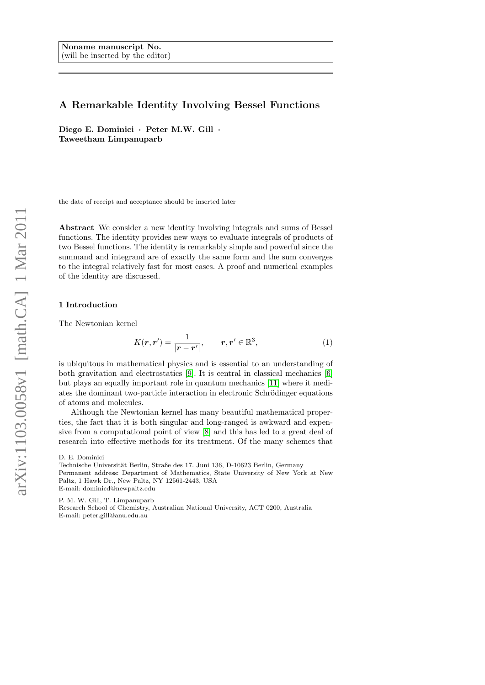# A Remarkable Identity Involving Bessel Functions

Diego E. Dominici · Peter M.W. Gill · Taweetham Limpanuparb

the date of receipt and acceptance should be inserted later

Abstract We consider a new identity involving integrals and sums of Bessel functions. The identity provides new ways to evaluate integrals of products of two Bessel functions. The identity is remarkably simple and powerful since the summand and integrand are of exactly the same form and the sum converges to the integral relatively fast for most cases. A proof and numerical examples of the identity are discussed.

#### 1 Introduction

The Newtonian kernel

<span id="page-0-0"></span>
$$
K(\mathbf{r}, \mathbf{r}') = \frac{1}{|\mathbf{r} - \mathbf{r}'|}, \qquad \mathbf{r}, \mathbf{r}' \in \mathbb{R}^3,
$$
 (1)

is ubiquitous in mathematical physics and is essential to an understanding of both gravitation and electrostatics [\[9\]](#page-9-0). It is central in classical mechanics [\[6\]](#page-9-1) but plays an equally important role in quantum mechanics [\[11\]](#page-9-2) where it mediates the dominant two-particle interaction in electronic Schrödinger equations of atoms and molecules.

Although the Newtonian kernel has many beautiful mathematical properties, the fact that it is both singular and long-ranged is awkward and expensive from a computational point of view [\[8\]](#page-9-3) and this has led to a great deal of research into effective methods for its treatment. Of the many schemes that

D. E. Dominici

Technische Universität Berlin, Straße des 17. Juni 136, D-10623 Berlin, Germany Permanent address: Department of Mathematics, State University of New York at New Paltz, 1 Hawk Dr., New Paltz, NY 12561-2443, USA E-mail: dominicd@newpaltz.edu

P. M. W. Gill, T. Limpanuparb

Research School of Chemistry, Australian National University, ACT 0200, Australia E-mail: peter.gill@anu.edu.au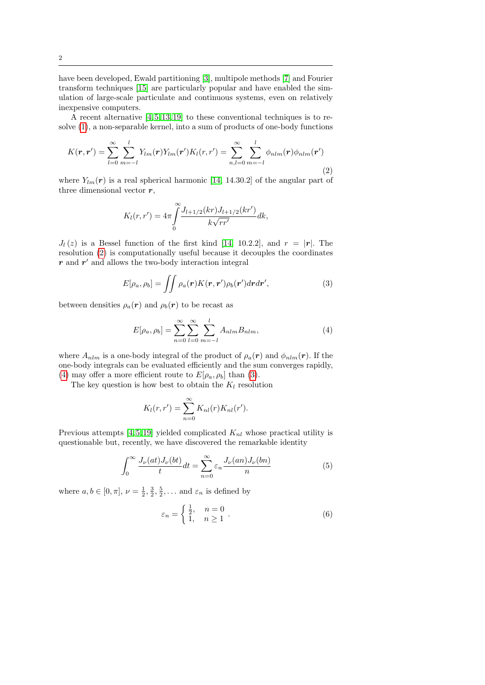have been developed, Ewald partitioning [\[3\]](#page-9-4), multipole methods [\[7\]](#page-9-5) and Fourier transform techniques [\[15\]](#page-9-6) are particularly popular and have enabled the simulation of large-scale particulate and continuous systems, even on relatively inexpensive computers.

A recent alternative  $[4, 5, 13, 19]$  $[4, 5, 13, 19]$  $[4, 5, 13, 19]$  $[4, 5, 13, 19]$  to these conventional techniques is to resolve [\(1\)](#page-0-0), a non-separable kernel, into a sum of products of one-body functions

<span id="page-1-0"></span>
$$
K(\mathbf{r}, \mathbf{r}') = \sum_{l=0}^{\infty} \sum_{m=-l}^{l} Y_{lm}(\mathbf{r}) Y_{lm}(\mathbf{r}') K_l(\mathbf{r}, \mathbf{r}') = \sum_{n,l=0}^{\infty} \sum_{m=-l}^{l} \phi_{nlm}(\mathbf{r}) \phi_{nlm}(\mathbf{r}')
$$
(2)

where  $Y_{lm}(r)$  is a real spherical harmonic [\[14,](#page-9-11) 14.30.2] of the angular part of three dimensional vector  $r$ ,

<span id="page-1-2"></span>
$$
K_l(r,r') = 4\pi \int_0^\infty \frac{J_{l+1/2}(kr)J_{l+1/2}(kr')}{k\sqrt{rr'}} dk,
$$

 $J_l(z)$  is a Bessel function of the first kind [\[14,](#page-9-11) 10.2.2], and  $r = |\mathbf{r}|$ . The resolution [\(2\)](#page-1-0) is computationally useful because it decouples the coordinates  $r$  and  $r'$  and allows the two-body interaction integral

$$
E[\rho_a, \rho_b] = \iint \rho_a(\mathbf{r}) K(\mathbf{r}, \mathbf{r}') \rho_b(\mathbf{r}') d\mathbf{r} d\mathbf{r}',\tag{3}
$$

between densities  $\rho_a(\mathbf{r})$  and  $\rho_b(\mathbf{r})$  to be recast as

<span id="page-1-1"></span>
$$
E[\rho_a, \rho_b] = \sum_{n=0}^{\infty} \sum_{l=0}^{\infty} \sum_{m=-l}^{l} A_{nlm} B_{nlm},
$$
 (4)

where  $A_{nlm}$  is a one-body integral of the product of  $\rho_a(\mathbf{r})$  and  $\phi_{nlm}(\mathbf{r})$ . If the one-body integrals can be evaluated efficiently and the sum converges rapidly, [\(4\)](#page-1-1) may offer a more efficient route to  $E[\rho_a, \rho_b]$  than [\(3\)](#page-1-2).

The key question is how best to obtain the  $K_l$  resolution

$$
K_l(r,r') = \sum_{n=0}^{\infty} K_{nl}(r) K_{nl}(r').
$$

Previous attempts [\[4,](#page-9-7) [5,](#page-9-8) [19\]](#page-9-10) yielded complicated  $K_{nl}$  whose practical utility is questionable but, recently, we have discovered the remarkable identity

<span id="page-1-3"></span>
$$
\int_0^\infty \frac{J_\nu(at)J_\nu(bt)}{t}dt = \sum_{n=0}^\infty \varepsilon_n \frac{J_\nu(an)J_\nu(bn)}{n} \tag{5}
$$

where  $a, b \in [0, \pi], \nu = \frac{1}{2}, \frac{3}{2}, \frac{5}{2}, \dots$  and  $\varepsilon_n$  is defined by

<span id="page-1-4"></span>
$$
\varepsilon_n = \begin{cases} \frac{1}{2}, & n = 0 \\ 1, & n \ge 1 \end{cases} . \tag{6}
$$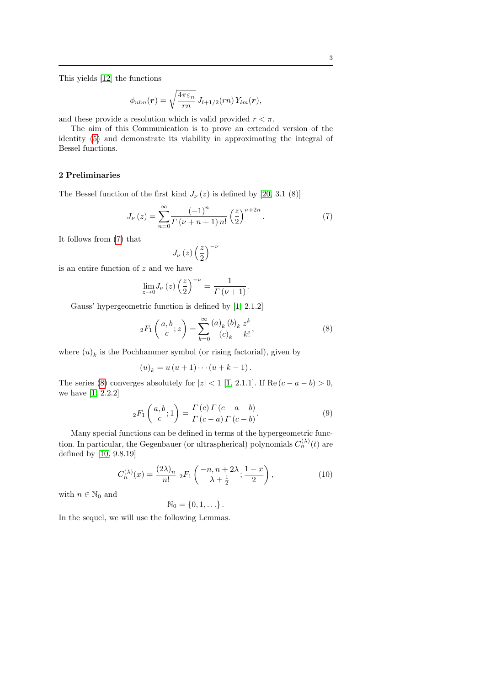$$
\phi_{nlm}(\boldsymbol{r}) = \sqrt{\frac{4\pi\varepsilon_n}{rn}} J_{l+1/2}(rn) Y_{lm}(\boldsymbol{r}),
$$

and these provide a resolution which is valid provided  $r < \pi$ .

The aim of this Communication is to prove an extended version of the identity [\(5\)](#page-1-3) and demonstrate its viability in approximating the integral of Bessel functions.

### 2 Preliminaries

The Bessel function of the first kind  $J_{\nu}(z)$  is defined by [\[20,](#page-9-13) 3.1 (8)]

<span id="page-2-0"></span>
$$
J_{\nu}(z) = \sum_{n=0}^{\infty} \frac{(-1)^n}{\Gamma(\nu+n+1) n!} \left(\frac{z}{2}\right)^{\nu+2n}.
$$
 (7)

It follows from [\(7\)](#page-2-0) that

$$
J_{\nu}\left(z\right)\left(\frac{z}{2}\right)^{-\nu}
$$

is an entire function of z and we have

$$
\lim_{z \to 0} J_{\nu}(z) \left(\frac{z}{2}\right)^{-\nu} = \frac{1}{\Gamma(\nu+1)}.
$$

Gauss' hypergeometric function is defined by [\[1,](#page-9-14) 2.1.2]

<span id="page-2-1"></span>
$$
{}_2F_1\left(\begin{array}{c} a,b \\ c \end{array}; z\right) = \sum_{k=0}^{\infty} \frac{(a)_k (b)_k}{(c)_k} \frac{z^k}{k!},\tag{8}
$$

where  $(u)_k$  is the Pochhammer symbol (or rising factorial), given by

$$
(u)_k = u (u+1) \cdots (u+k-1).
$$

The series [\(8\)](#page-2-1) converges absolutely for  $|z| < 1$  [\[1,](#page-9-14) 2.1.1]. If Re  $(c - a - b) > 0$ , we have [\[1,](#page-9-14) 2.2.2]

<span id="page-2-3"></span>
$$
{}_2F_1\left(\begin{array}{c} a,b \\ c \end{array};1\right) = \frac{\Gamma(c)\Gamma(c-a-b)}{\Gamma(c-a)\Gamma(c-b)}.\tag{9}
$$

Many special functions can be defined in terms of the hypergeometric function. In particular, the Gegenbauer (or ultraspherical) polynomials  $C_n^{(\lambda)}(t)$  are defined by [\[10,](#page-9-15) 9.8.19]

<span id="page-2-2"></span>
$$
C_n^{(\lambda)}(x) = \frac{(2\lambda)_n}{n!} {}_2F_1\left(\begin{array}{c} -n, n+2\lambda \\ \lambda + \frac{1}{2} \end{array}; \frac{1-x}{2}\right),\tag{10}
$$

with  $n \in \mathbb{N}_0$  and

$$
\mathbb{N}_0=\left\{0,1,\ldots\right\}.
$$

In the sequel, we will use the following Lemmas.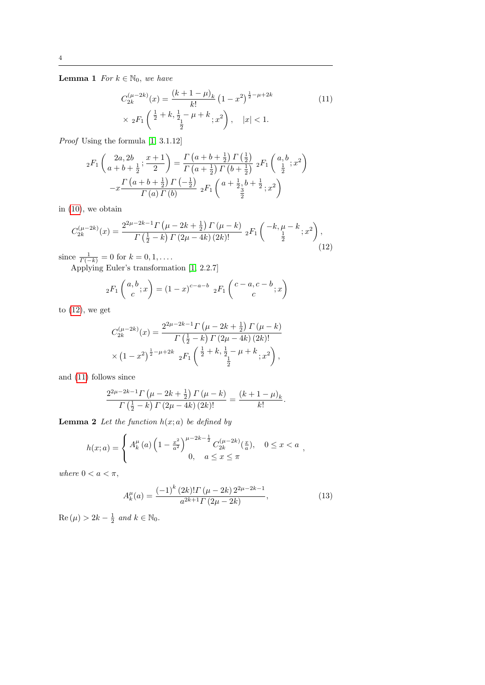**Lemma 1** For  $k \in \mathbb{N}_0$ , we have

<span id="page-3-1"></span>
$$
C_{2k}^{(\mu-2k)}(x) = \frac{(k+1-\mu)_k}{k!} (1-x^2)^{\frac{1}{2}-\mu+2k}
$$
  
 
$$
\times {}_{2}F_{1}\left(\frac{1}{2}+k, \frac{1}{2}-\mu+k; x^2\right), \quad |x|<1.
$$
 (11)

Proof Using the formula [\[1,](#page-9-14) 3.1.12]

$$
{}_{2}F_{1}\left(\frac{2a,2b}{a+b+\frac{1}{2}};\frac{x+1}{2}\right) = \frac{\Gamma\left(a+b+\frac{1}{2}\right)\Gamma\left(\frac{1}{2}\right)}{\Gamma\left(a+\frac{1}{2}\right)\Gamma\left(b+\frac{1}{2}\right)} {}_{2}F_{1}\left(\frac{a,b}{\frac{1}{2}};x^{2}\right)
$$

$$
-x\frac{\Gamma\left(a+b+\frac{1}{2}\right)\Gamma\left(-\frac{1}{2}\right)}{\Gamma\left(a\right)\Gamma\left(b\right)} {}_{2}F_{1}\left(a+\frac{1}{2};b+\frac{1}{2};x^{2}\right)
$$

in [\(10\)](#page-2-2), we obtain

<span id="page-3-0"></span>
$$
C_{2k}^{(\mu-2k)}(x) = \frac{2^{2\mu-2k-1}\Gamma(\mu-2k+\frac{1}{2})\Gamma(\mu-k)}{\Gamma(\frac{1}{2}-k)\Gamma(2\mu-4k)(2k)!} \; {}_2F_1\left(\begin{array}{c} -k, \mu-k \\ \frac{1}{2} \end{array}; x^2\right),\tag{12}
$$

since  $\frac{1}{\Gamma(-k)} = 0$  for  $k = 0, 1, ...$ 

Applying Euler's transformation [\[1,](#page-9-14) 2.2.7]

$$
{}_2F_1\left(\begin{array}{c} a,b \\ c \end{array};x\right) = (1-x)^{c-a-b} {}_2F_1\left(\begin{array}{c} c-a,c-b \\ c \end{array};x\right)
$$

to  $(12)$ , we get

$$
C_{2k}^{(\mu-2k)}(x) = \frac{2^{2\mu-2k-1}\Gamma(\mu-2k+\frac{1}{2})\Gamma(\mu-k)}{\Gamma(\frac{1}{2}-k)\Gamma(2\mu-4k)(2k)!}
$$
  
 
$$
\times (1-x^2)^{\frac{1}{2}-\mu+2k} {}_{2}F_1\left(\frac{1}{2}+k,\frac{1}{2}-\mu+k,\frac{1}{2}\right),
$$

and [\(11\)](#page-3-1) follows since

$$
\frac{2^{2\mu-2k-1}\Gamma(\mu-2k+\frac{1}{2})\Gamma(\mu-k)}{\Gamma(\frac{1}{2}-k)\Gamma(2\mu-4k)(2k)!} = \frac{(k+1-\mu)_k}{k!}.
$$

**Lemma 2** Let the function  $h(x; a)$  be defined by

$$
h(x;a) = \begin{cases} A_k^{\mu}(a) \left(1 - \frac{x^2}{a^2}\right)^{\mu - 2k - \frac{1}{2}} C_{2k}^{(\mu - 2k)}(\frac{x}{a}), & 0 \le x < a \\ 0, & a \le x \le \pi \end{cases}
$$

where  $0 < a < \pi$ ,

<span id="page-3-2"></span>
$$
A_{k}^{\mu}(a) = \frac{(-1)^{k} (2k)! \Gamma(\mu - 2k) 2^{2\mu - 2k - 1}}{a^{2k + 1} \Gamma(2\mu - 2k)},
$$
\n(13)

 $\text{Re}(\mu) > 2k - \frac{1}{2}$  and  $k \in \mathbb{N}_0$ .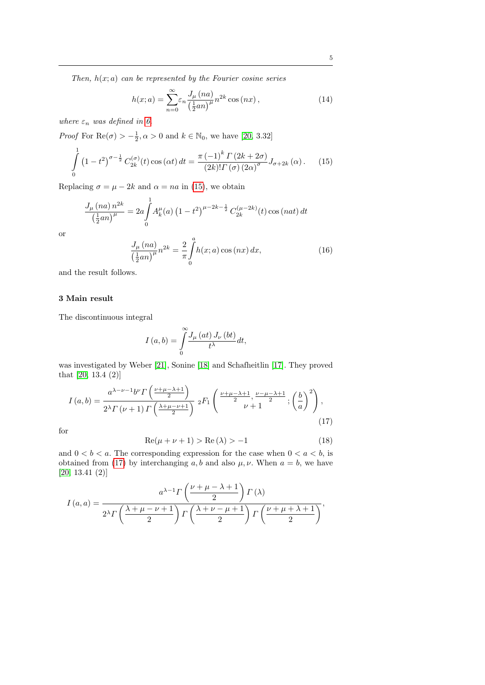Then,  $h(x; a)$  can be represented by the Fourier cosine series

<span id="page-4-2"></span>
$$
h(x;a) = \sum_{n=0}^{\infty} \varepsilon_n \frac{J_\mu(na)}{\left(\frac{1}{2}an\right)^{\mu}} n^{2k} \cos(nx) , \qquad (14)
$$

where  $\varepsilon_n$  was defined in [6.](#page-1-4)

*Proof* For  $\text{Re}(\sigma) > -\frac{1}{2}, \alpha > 0$  and  $k \in \mathbb{N}_0$ , we have [\[20,](#page-9-13) 3.32]

<span id="page-4-0"></span>
$$
\int_{0}^{1} (1 - t^{2})^{\sigma - \frac{1}{2}} C_{2k}^{(\sigma)}(t) \cos(\alpha t) dt = \frac{\pi (-1)^{k} \Gamma(2k + 2\sigma)}{(2k)! \Gamma(\sigma) (2\alpha)^{\sigma}} J_{\sigma + 2k}(\alpha).
$$
 (15)

Replacing  $\sigma = \mu - 2k$  and  $\alpha = na$  in [\(15\)](#page-4-0), we obtain

$$
\frac{J_{\mu}(na) n^{2k}}{\left(\frac{1}{2}an\right)^{\mu}} = 2a \int_{0}^{1} A_{k}^{\mu}(a) \left(1 - t^{2}\right)^{\mu - 2k - \frac{1}{2}} C_{2k}^{(\mu - 2k)}(t) \cos\left(nat\right) dt
$$

or

<span id="page-4-3"></span>
$$
\frac{J_{\mu}(na)}{\left(\frac{1}{2}an\right)^{\mu}}n^{2k} = \frac{2}{\pi} \int_{0}^{a} h(x;a)\cos(nx) \, dx,\tag{16}
$$

and the result follows.

## 3 Main result

The discontinuous integral

$$
I\left(a,b\right) = \int\limits_{0}^{\infty} \frac{J_{\mu}\left(at\right)J_{\nu}\left(bt\right)}{t^{\lambda}}dt,
$$

was investigated by Weber [\[21\]](#page-9-16), Sonine [\[18\]](#page-9-17) and Schafheitlin [\[17\]](#page-9-18). They proved that [\[20,](#page-9-13) 13.4 (2)]

<span id="page-4-1"></span>
$$
I\left(a,b\right) = \frac{a^{\lambda-\nu-1}b^{\nu}\Gamma\left(\frac{\nu+\mu-\lambda+1}{2}\right)}{2^{\lambda}\Gamma\left(\nu+1\right)\Gamma\left(\frac{\lambda+\mu-\nu+1}{2}\right)}\,{}_2F_1\left(\frac{\nu+\mu-\lambda+1}{2},\frac{\nu-\mu-\lambda+1}{2};\left(\frac{b}{a}\right)^2\right),\tag{17}
$$

for

<span id="page-4-4"></span>
$$
Re(\mu + \nu + 1) > Re(\lambda) > -1
$$
\n(18)

and  $0 < b < a$ . The corresponding expression for the case when  $0 < a < b$ , is obtained from [\(17\)](#page-4-1) by interchanging a, b and also  $\mu$ ,  $\nu$ . When  $a = b$ , we have [\[20,](#page-9-13) 13.41 (2)]

$$
I(a,a) = \frac{a^{\lambda-1} \Gamma\left(\frac{\nu+\mu-\lambda+1}{2}\right) \Gamma(\lambda)}{2^{\lambda} \Gamma\left(\frac{\lambda+\mu-\nu+1}{2}\right) \Gamma\left(\frac{\lambda+\nu-\mu+1}{2}\right) \Gamma\left(\frac{\nu+\mu+\lambda+1}{2}\right)},
$$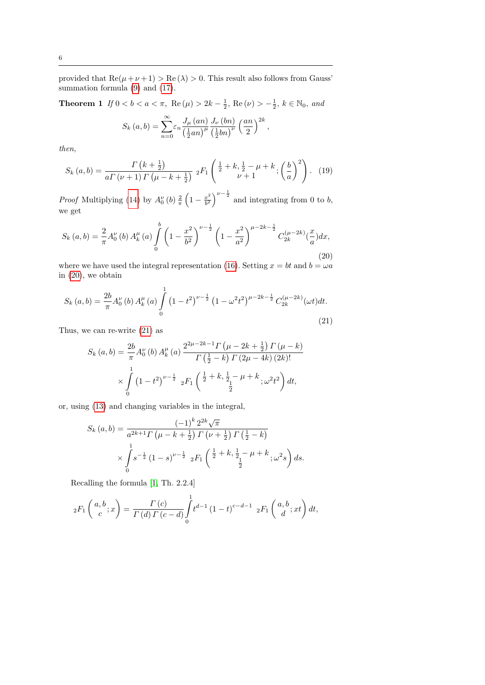provided that  $\text{Re}(\mu + \nu + 1) > \text{Re}(\lambda) > 0$ . This result also follows from Gauss' summation formula [\(9\)](#page-2-3) and [\(17\)](#page-4-1).

<span id="page-5-2"></span>**Theorem 1** If  $0 < b < a < \pi$ , Re  $(\mu) > 2k - \frac{1}{2}$ , Re  $(\nu) > -\frac{1}{2}$ ,  $k \in \mathbb{N}_0$ , and

$$
S_k(a,b) = \sum_{n=0}^{\infty} \varepsilon_n \frac{J_\mu(an)}{\left(\frac{1}{2}an\right)^{\mu} \left(\frac{1}{2}bn\right)^{\nu}} \left(\frac{an}{2}\right)^{2k}
$$

,

then,

<span id="page-5-3"></span>
$$
S_k(a,b) = \frac{\Gamma(k + \frac{1}{2})}{a\Gamma(\nu+1)\Gamma(\mu-k+\frac{1}{2})} {}_2F_1\left(\frac{\frac{1}{2} + k, \frac{1}{2} - \mu + k}{\nu+1}; \left(\frac{b}{a}\right)^2\right). \tag{19}
$$

*Proof* Multiplying [\(14\)](#page-4-2) by  $A_0^{\nu}(b) \frac{2}{\pi} \left(1 - \frac{x^2}{b^2}\right)$  $\left(\frac{x^2}{b^2}\right)^{\nu-\frac{1}{2}}$  and integrating from 0 to b, we get

<span id="page-5-0"></span>
$$
S_k(a,b) = \frac{2}{\pi} A_0^{\nu}(b) A_k^{\mu}(a) \int_0^b \left(1 - \frac{x^2}{b^2}\right)^{\nu - \frac{1}{2}} \left(1 - \frac{x^2}{a^2}\right)^{\mu - 2k - \frac{1}{2}} C_{2k}^{(\mu - 2k)}(\frac{x}{a}) dx,
$$
\n(20)

where we have used the integral representation [\(16\)](#page-4-3). Setting  $x = bt$  and  $b = \omega a$ in [\(20\)](#page-5-0), we obtain

<span id="page-5-1"></span>
$$
S_k(a,b) = \frac{2b}{\pi} A_0^{\nu}(b) A_k^{\mu}(a) \int_0^1 (1 - t^2)^{\nu - \frac{1}{2}} (1 - \omega^2 t^2)^{\mu - 2k - \frac{1}{2}} C_{2k}^{(\mu - 2k)}(\omega t) dt.
$$
\n(21)

Thus, we can re-write [\(21\)](#page-5-1) as

$$
S_k(a,b) = \frac{2b}{\pi} A_0^{\nu}(b) A_k^{\mu}(a) \frac{2^{2\mu - 2k - 1} \Gamma(\mu - 2k + \frac{1}{2}) \Gamma(\mu - k)}{\Gamma(\frac{1}{2} - k) \Gamma(2\mu - 4k) (2k)!}
$$
  
 
$$
\times \int_0^1 (1 - t^2)^{\nu - \frac{1}{2}} 2F_1\left(\frac{\frac{1}{2} + k, \frac{1}{2} - \mu + k}{\frac{1}{2}}; \omega^2 t^2\right) dt,
$$

or, using [\(13\)](#page-3-2) and changing variables in the integral,

$$
S_k(a,b) = \frac{(-1)^k 2^{2k} \sqrt{\pi}}{a^{2k+1} \Gamma(\mu - k + \frac{1}{2}) \Gamma(\nu + \frac{1}{2}) \Gamma(\frac{1}{2} - k)}
$$
  
 
$$
\times \int_0^1 s^{-\frac{1}{2}} (1 - s)^{\nu - \frac{1}{2}} 2F_1\left(\frac{1}{2} + k, \frac{1}{2} - \mu + k, \frac{1}{2} s\right) ds.
$$

Recalling the formula [\[1,](#page-9-14) Th. 2.2.4]

$$
{}_2F_1\left(\begin{array}{c} a,b \\ c \end{array};x\right) = \frac{\Gamma(c)}{\Gamma(d)\Gamma(c-d)} \int_0^1 t^{d-1} (1-t)^{c-d-1} {}_2F_1\left(\begin{array}{c} a,b \\ d \end{array};xt\right) dt,
$$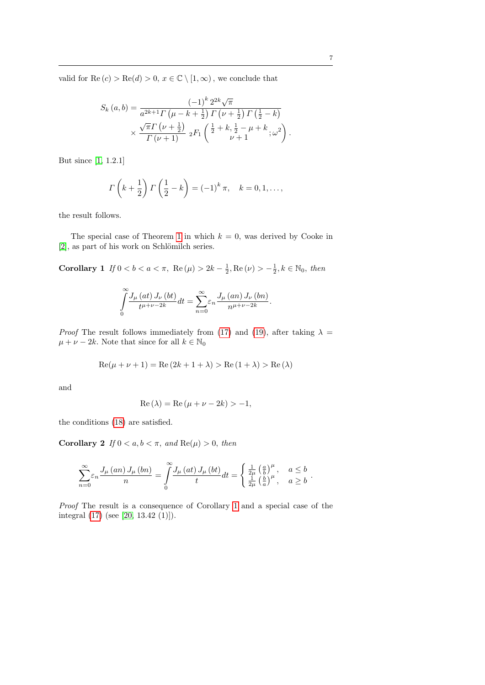valid for  $\text{Re}(c) > \text{Re}(d) > 0, x \in \mathbb{C} \setminus [1, \infty)$ , we conclude that

$$
S_k(a,b) = \frac{(-1)^k 2^{2k} \sqrt{\pi}}{a^{2k+1} \Gamma(\mu - k + \frac{1}{2}) \Gamma(\nu + \frac{1}{2}) \Gamma(\frac{1}{2} - k)} \times \frac{\sqrt{\pi} \Gamma(\nu + \frac{1}{2})}{\Gamma(\nu + 1)} {}_2F_1\left(\frac{1}{2} + k, \frac{1}{2} - \mu + k, \omega^2\right).
$$

But since [\[1,](#page-9-14) 1.2.1]

$$
\Gamma\left(k+\frac{1}{2}\right)\Gamma\left(\frac{1}{2}-k\right) = \left(-1\right)^k \pi, \quad k=0,1,\ldots,
$$

the result follows.

The special case of Theorem [1](#page-5-2) in which  $k = 0$ , was derived by Cooke in [\[2\]](#page-9-19), as part of his work on Schlömilch series.

<span id="page-6-0"></span>Corollary 1 If  $0 < b < a < \pi$ , Re  $(\mu) > 2k - \frac{1}{2}$ , Re  $(\nu) > -\frac{1}{2}$ ,  $k \in \mathbb{N}_0$ , then

$$
\int_{0}^{\infty} \frac{J_{\mu}\left(at\right)J_{\nu}\left(bt\right)}{t^{\mu+\nu-2k}}dt = \sum_{n=0}^{\infty} \varepsilon_n \frac{J_{\mu}\left(an\right)J_{\nu}\left(bn\right)}{n^{\mu+\nu-2k}}.
$$

*Proof* The result follows immediately from [\(17\)](#page-4-1) and [\(19\)](#page-5-3), after taking  $\lambda =$  $\mu + \nu - 2k$ . Note that since for all  $k \in \mathbb{N}_0$ 

$$
Re(\mu + \nu + 1) = Re(2k + 1 + \lambda) > Re(1 + \lambda) > Re(\lambda)
$$

and

$$
Re(\lambda) = Re(\mu + \nu - 2k) > -1,
$$

the conditions [\(18\)](#page-4-4) are satisfied.

Corollary 2 If  $0 < a, b < \pi$ , and  $\text{Re}(\mu) > 0$ , then

$$
\sum_{n=0}^{\infty} \varepsilon_n \frac{J_{\mu}(an) J_{\mu}(bn)}{n} = \int_{0}^{\infty} \frac{J_{\mu}(at) J_{\mu}(bt)}{t} dt = \begin{cases} \frac{1}{2\mu} \left(\frac{a}{b}\right)^{\mu}, & a \leq b \\ \frac{1}{2\mu} \left(\frac{b}{a}\right)^{\mu}, & a \geq b \end{cases}.
$$

Proof The result is a consequence of Corollary [1](#page-6-0) and a special case of the integral [\(17\)](#page-4-1) (see [\[20,](#page-9-13) 13.42 (1)]).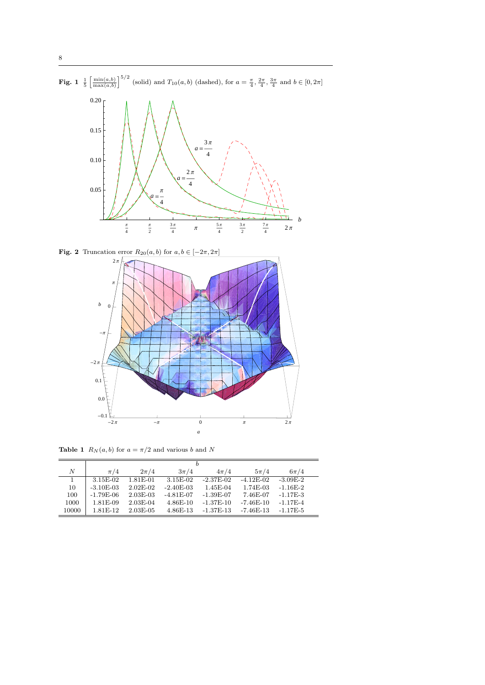

**Fig. 2** Truncation error  $R_{20}(a, b)$  for  $a, b \in [-2\pi, 2\pi]$ 



**Table 1**  $R_N(a, b)$  for  $a = \pi/2$  and various b and N

|       | b           |            |              |             |             |            |
|-------|-------------|------------|--------------|-------------|-------------|------------|
| N     | $\pi/4$     | $2\pi/4$   | $3\pi/4$     | $4\pi/4$    | $5\pi/4$    | $6\pi/4$   |
| 1.    | 3.15E-02    | 1.81E-01   | 3.15E-02     | $-2.37E-02$ | $-4.12E-02$ | $-3.09E-2$ |
| 10    | $-3.10E-03$ | $2.02E-02$ | $-2.40E-03$  | $1.45E-04$  | 1.74E-03    | $-1.16E-2$ |
| 100   | $-1.79E-06$ | $2.03E-03$ | $-4.81E-07$  | $-1.39E-07$ | 7.46E-07    | $-1.17E-3$ |
| 1000  | $1.81E-09$  | $2.03E-04$ | $4.86E - 10$ | $-1.37E-10$ | $-7.46E-10$ | $-1.17E-4$ |
| 10000 | $1.81E-12$  | 2.03E-05   | $4.86E - 13$ | $-1.37E-13$ | $-7.46E-13$ | $-1.17E-5$ |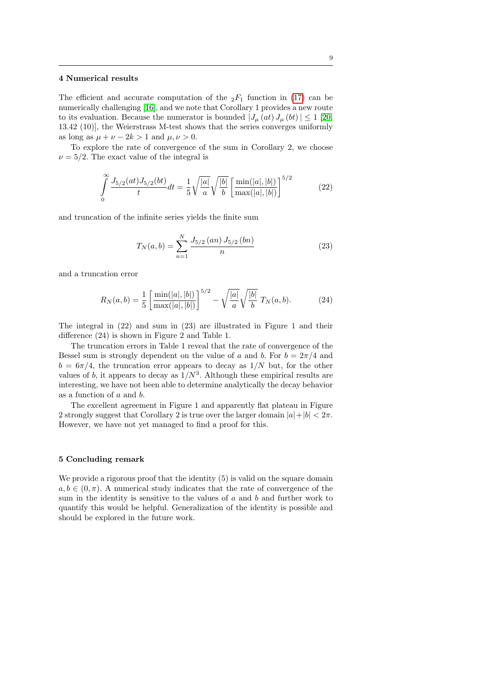#### 4 Numerical results

The efficient and accurate computation of the  ${}_2F_1$  function in [\(17\)](#page-4-1) can be numerically challenging [\[16\]](#page-9-20), and we note that Corollary 1 provides a new route to its evaluation. Because the numerator is bounded  $|J_\mu(at) J_\mu(bt)| \leq 1$  [\[20,](#page-9-13) 13.42 (10)], the Weierstrass M-test shows that the series converges uniformly as long as  $\mu + \nu - 2k > 1$  and  $\mu, \nu > 0$ .

To explore the rate of convergence of the sum in Corollary 2, we choose  $\nu = 5/2$ . The exact value of the integral is

$$
\int_{0}^{\infty} \frac{J_{5/2}(at)J_{5/2}(bt)}{t} dt = \frac{1}{5} \sqrt{\frac{|a|}{a}} \sqrt{\frac{|b|}{b}} \left[ \frac{\min(|a|, |b|)}{\max(|a|, |b|)} \right]^{5/2}
$$
(22)

and truncation of the infinite series yields the finite sum

$$
T_N(a,b) = \sum_{n=1}^{N} \frac{J_{5/2} (an) J_{5/2} (bn)}{n}
$$
 (23)

and a truncation error

$$
R_N(a,b) = \frac{1}{5} \left[ \frac{\min(|a|,|b|)}{\max(|a|,|b|)} \right]^{5/2} - \sqrt{\frac{|a|}{a}} \sqrt{\frac{|b|}{b}} T_N(a,b). \tag{24}
$$

The integral in (22) and sum in (23) are illustrated in Figure 1 and their difference (24) is shown in Figure 2 and Table 1.

The truncation errors in Table 1 reveal that the rate of convergence of the Bessel sum is strongly dependent on the value of a and b. For  $b = 2\pi/4$  and  $b = 6\pi/4$ , the truncation error appears to decay as  $1/N$  but, for the other values of b, it appears to decay as  $1/N^3$ . Although these empirical results are interesting, we have not been able to determine analytically the decay behavior as a function of a and b.

The excellent agreement in Figure 1 and apparently flat plateau in Figure 2 strongly suggest that Corollary 2 is true over the larger domain  $|a|+|b| < 2\pi$ . However, we have not yet managed to find a proof for this.

### 5 Concluding remark

We provide a rigorous proof that the identity  $(5)$  is valid on the square domain  $a, b \in (0, \pi)$ . A numerical study indicates that the rate of convergence of the sum in the identity is sensitive to the values of  $a$  and  $b$  and further work to quantify this would be helpful. Generalization of the identity is possible and should be explored in the future work.